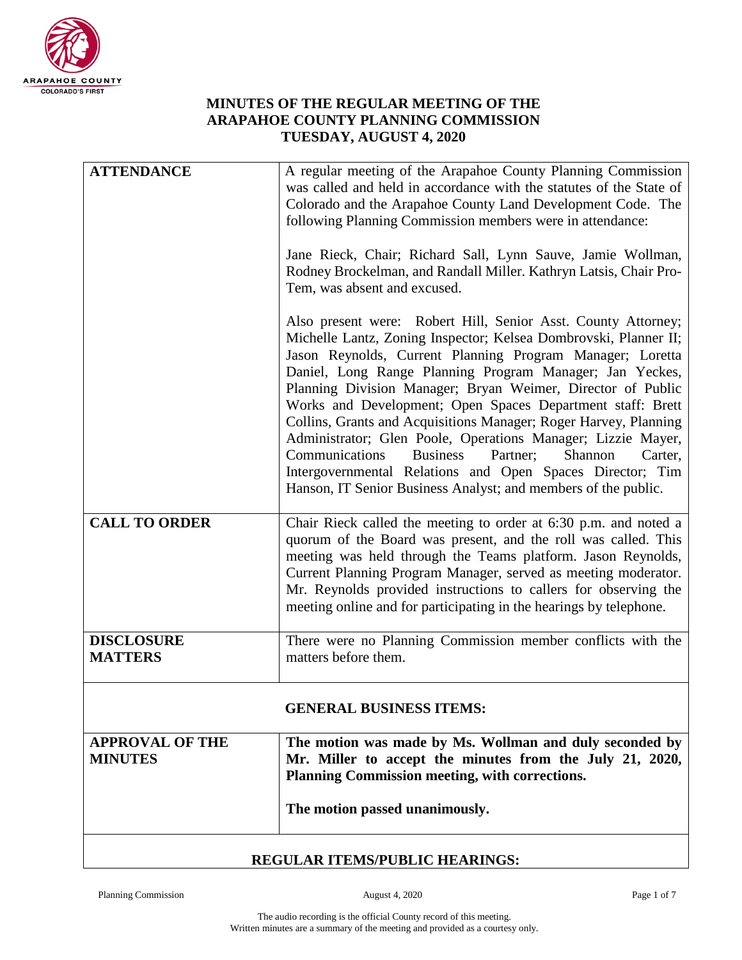

## **MINUTES OF THE REGULAR MEETING OF THE ARAPAHOE COUNTY PLANNING COMMISSION TUESDAY, AUGUST 4, 2020**

| DECHI AD ITEMODIDI IO HEADIMOO           |                                                                                                                                                                                                                                                                                                                                                                                                                                                                                                                                                                                                                                                                                                                                   |  |
|------------------------------------------|-----------------------------------------------------------------------------------------------------------------------------------------------------------------------------------------------------------------------------------------------------------------------------------------------------------------------------------------------------------------------------------------------------------------------------------------------------------------------------------------------------------------------------------------------------------------------------------------------------------------------------------------------------------------------------------------------------------------------------------|--|
|                                          | The motion passed unanimously.                                                                                                                                                                                                                                                                                                                                                                                                                                                                                                                                                                                                                                                                                                    |  |
| <b>APPROVAL OF THE</b><br><b>MINUTES</b> | The motion was made by Ms. Wollman and duly seconded by<br>Mr. Miller to accept the minutes from the July 21, 2020,<br>Planning Commission meeting, with corrections.                                                                                                                                                                                                                                                                                                                                                                                                                                                                                                                                                             |  |
|                                          | <b>GENERAL BUSINESS ITEMS:</b>                                                                                                                                                                                                                                                                                                                                                                                                                                                                                                                                                                                                                                                                                                    |  |
| <b>DISCLOSURE</b><br><b>MATTERS</b>      | There were no Planning Commission member conflicts with the<br>matters before them.                                                                                                                                                                                                                                                                                                                                                                                                                                                                                                                                                                                                                                               |  |
| <b>CALL TO ORDER</b>                     | Chair Rieck called the meeting to order at 6:30 p.m. and noted a<br>quorum of the Board was present, and the roll was called. This<br>meeting was held through the Teams platform. Jason Reynolds,<br>Current Planning Program Manager, served as meeting moderator.<br>Mr. Reynolds provided instructions to callers for observing the<br>meeting online and for participating in the hearings by telephone.                                                                                                                                                                                                                                                                                                                     |  |
|                                          | Also present were: Robert Hill, Senior Asst. County Attorney;<br>Michelle Lantz, Zoning Inspector; Kelsea Dombrovski, Planner II;<br>Jason Reynolds, Current Planning Program Manager; Loretta<br>Daniel, Long Range Planning Program Manager; Jan Yeckes,<br>Planning Division Manager; Bryan Weimer, Director of Public<br>Works and Development; Open Spaces Department staff: Brett<br>Collins, Grants and Acquisitions Manager; Roger Harvey, Planning<br>Administrator; Glen Poole, Operations Manager; Lizzie Mayer,<br>Communications<br><b>Business</b><br>Partner;<br>Shannon<br>Carter,<br>Intergovernmental Relations and Open Spaces Director; Tim<br>Hanson, IT Senior Business Analyst; and members of the public. |  |
|                                          | Jane Rieck, Chair; Richard Sall, Lynn Sauve, Jamie Wollman,<br>Rodney Brockelman, and Randall Miller. Kathryn Latsis, Chair Pro-<br>Tem, was absent and excused.                                                                                                                                                                                                                                                                                                                                                                                                                                                                                                                                                                  |  |
| <b>ATTENDANCE</b>                        | A regular meeting of the Arapahoe County Planning Commission<br>was called and held in accordance with the statutes of the State of<br>Colorado and the Arapahoe County Land Development Code. The<br>following Planning Commission members were in attendance:                                                                                                                                                                                                                                                                                                                                                                                                                                                                   |  |

## **REGULAR ITEMS/PUBLIC HEARINGS:**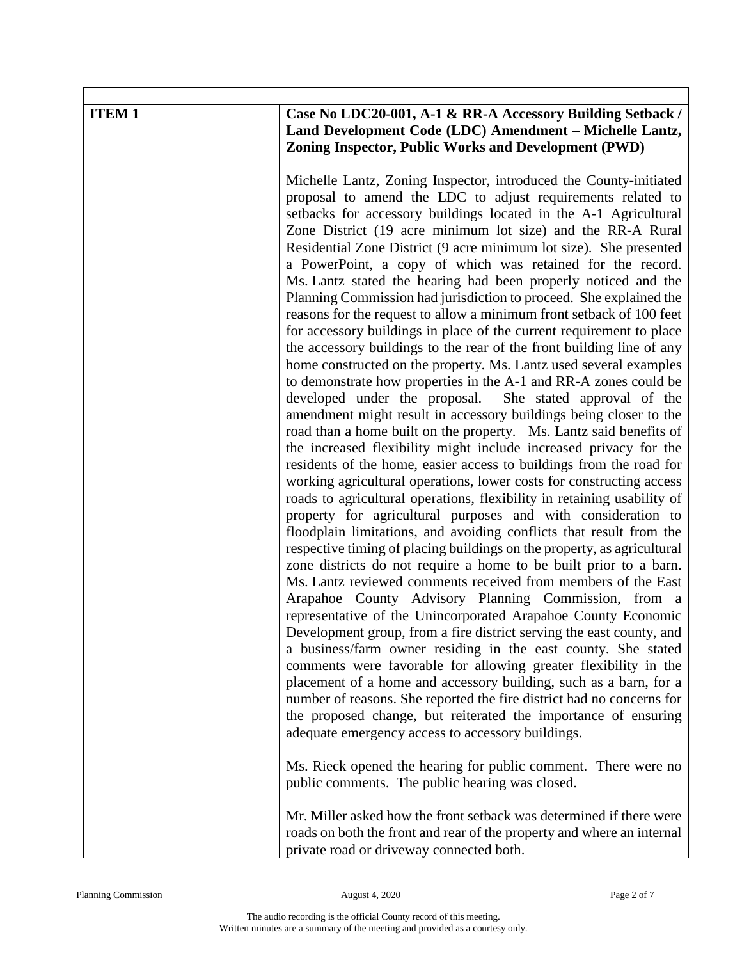| <b>ITEM1</b> | Case No LDC20-001, A-1 & RR-A Accessory Building Setback /<br>Land Development Code (LDC) Amendment - Michelle Lantz,<br><b>Zoning Inspector, Public Works and Development (PWD)</b>                                                                                                                                                                                                                                                                                                                                                                                                                                                                                                                                                                                                                                                                                                                                                                                                                                                                                                                                                                                                                                                                                                                                                                                                                                                                                                                                                                                                                                                                                                                                                                                                                                                                                                                                                                                                                                                                 |
|--------------|------------------------------------------------------------------------------------------------------------------------------------------------------------------------------------------------------------------------------------------------------------------------------------------------------------------------------------------------------------------------------------------------------------------------------------------------------------------------------------------------------------------------------------------------------------------------------------------------------------------------------------------------------------------------------------------------------------------------------------------------------------------------------------------------------------------------------------------------------------------------------------------------------------------------------------------------------------------------------------------------------------------------------------------------------------------------------------------------------------------------------------------------------------------------------------------------------------------------------------------------------------------------------------------------------------------------------------------------------------------------------------------------------------------------------------------------------------------------------------------------------------------------------------------------------------------------------------------------------------------------------------------------------------------------------------------------------------------------------------------------------------------------------------------------------------------------------------------------------------------------------------------------------------------------------------------------------------------------------------------------------------------------------------------------------|
|              | Michelle Lantz, Zoning Inspector, introduced the County-initiated<br>proposal to amend the LDC to adjust requirements related to<br>setbacks for accessory buildings located in the A-1 Agricultural<br>Zone District (19 acre minimum lot size) and the RR-A Rural<br>Residential Zone District (9 acre minimum lot size). She presented<br>a PowerPoint, a copy of which was retained for the record.<br>Ms. Lantz stated the hearing had been properly noticed and the<br>Planning Commission had jurisdiction to proceed. She explained the<br>reasons for the request to allow a minimum front setback of 100 feet<br>for accessory buildings in place of the current requirement to place<br>the accessory buildings to the rear of the front building line of any<br>home constructed on the property. Ms. Lantz used several examples<br>to demonstrate how properties in the A-1 and RR-A zones could be<br>developed under the proposal.<br>She stated approval of the<br>amendment might result in accessory buildings being closer to the<br>road than a home built on the property. Ms. Lantz said benefits of<br>the increased flexibility might include increased privacy for the<br>residents of the home, easier access to buildings from the road for<br>working agricultural operations, lower costs for constructing access<br>roads to agricultural operations, flexibility in retaining usability of<br>property for agricultural purposes and with consideration to<br>floodplain limitations, and avoiding conflicts that result from the<br>respective timing of placing buildings on the property, as agricultural<br>zone districts do not require a home to be built prior to a barn.<br>Ms. Lantz reviewed comments received from members of the East<br>Arapahoe County Advisory Planning Commission, from a<br>representative of the Unincorporated Arapahoe County Economic<br>Development group, from a fire district serving the east county, and<br>a business/farm owner residing in the east county. She stated |
|              | comments were favorable for allowing greater flexibility in the<br>placement of a home and accessory building, such as a barn, for a<br>number of reasons. She reported the fire district had no concerns for<br>the proposed change, but reiterated the importance of ensuring<br>adequate emergency access to accessory buildings.                                                                                                                                                                                                                                                                                                                                                                                                                                                                                                                                                                                                                                                                                                                                                                                                                                                                                                                                                                                                                                                                                                                                                                                                                                                                                                                                                                                                                                                                                                                                                                                                                                                                                                                 |
|              | Ms. Rieck opened the hearing for public comment. There were no<br>public comments. The public hearing was closed.                                                                                                                                                                                                                                                                                                                                                                                                                                                                                                                                                                                                                                                                                                                                                                                                                                                                                                                                                                                                                                                                                                                                                                                                                                                                                                                                                                                                                                                                                                                                                                                                                                                                                                                                                                                                                                                                                                                                    |
|              | Mr. Miller asked how the front setback was determined if there were<br>roads on both the front and rear of the property and where an internal<br>private road or driveway connected both.                                                                                                                                                                                                                                                                                                                                                                                                                                                                                                                                                                                                                                                                                                                                                                                                                                                                                                                                                                                                                                                                                                                                                                                                                                                                                                                                                                                                                                                                                                                                                                                                                                                                                                                                                                                                                                                            |

Г

٦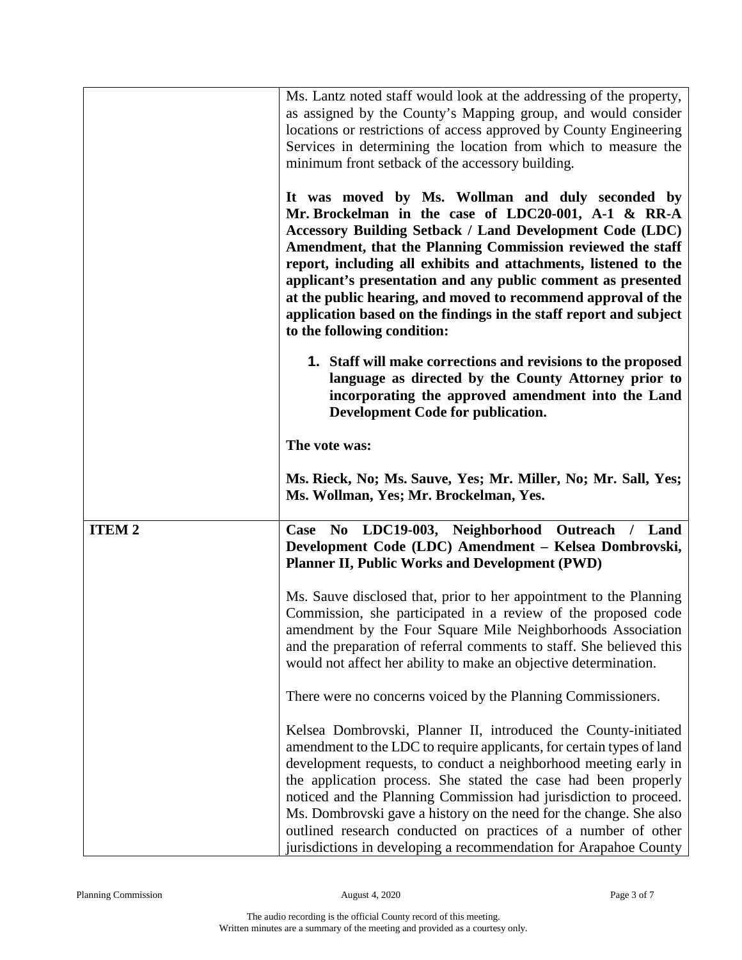|              | Ms. Lantz noted staff would look at the addressing of the property,<br>as assigned by the County's Mapping group, and would consider                                                                                                                                                                                                                                                                                                                                                                                                                         |
|--------------|--------------------------------------------------------------------------------------------------------------------------------------------------------------------------------------------------------------------------------------------------------------------------------------------------------------------------------------------------------------------------------------------------------------------------------------------------------------------------------------------------------------------------------------------------------------|
|              | locations or restrictions of access approved by County Engineering                                                                                                                                                                                                                                                                                                                                                                                                                                                                                           |
|              | Services in determining the location from which to measure the                                                                                                                                                                                                                                                                                                                                                                                                                                                                                               |
|              | minimum front setback of the accessory building.                                                                                                                                                                                                                                                                                                                                                                                                                                                                                                             |
|              | It was moved by Ms. Wollman and duly seconded by<br>Mr. Brockelman in the case of LDC20-001, A-1 & RR-A<br><b>Accessory Building Setback / Land Development Code (LDC)</b><br>Amendment, that the Planning Commission reviewed the staff<br>report, including all exhibits and attachments, listened to the<br>applicant's presentation and any public comment as presented<br>at the public hearing, and moved to recommend approval of the<br>application based on the findings in the staff report and subject<br>to the following condition:             |
|              | 1. Staff will make corrections and revisions to the proposed<br>language as directed by the County Attorney prior to<br>incorporating the approved amendment into the Land<br>Development Code for publication.                                                                                                                                                                                                                                                                                                                                              |
|              | The vote was:                                                                                                                                                                                                                                                                                                                                                                                                                                                                                                                                                |
|              | Ms. Rieck, No; Ms. Sauve, Yes; Mr. Miller, No; Mr. Sall, Yes;<br>Ms. Wollman, Yes; Mr. Brockelman, Yes.                                                                                                                                                                                                                                                                                                                                                                                                                                                      |
| <b>ITEM2</b> | Case No LDC19-003, Neighborhood Outreach / Land                                                                                                                                                                                                                                                                                                                                                                                                                                                                                                              |
|              | Development Code (LDC) Amendment - Kelsea Dombrovski,<br><b>Planner II, Public Works and Development (PWD)</b>                                                                                                                                                                                                                                                                                                                                                                                                                                               |
|              | Ms. Sauve disclosed that, prior to her appointment to the Planning<br>Commission, she participated in a review of the proposed code<br>amendment by the Four Square Mile Neighborhoods Association<br>and the preparation of referral comments to staff. She believed this<br>would not affect her ability to make an objective determination.                                                                                                                                                                                                               |
|              | There were no concerns voiced by the Planning Commissioners.                                                                                                                                                                                                                                                                                                                                                                                                                                                                                                 |
|              | Kelsea Dombrovski, Planner II, introduced the County-initiated<br>amendment to the LDC to require applicants, for certain types of land<br>development requests, to conduct a neighborhood meeting early in<br>the application process. She stated the case had been properly<br>noticed and the Planning Commission had jurisdiction to proceed.<br>Ms. Dombrovski gave a history on the need for the change. She also<br>outlined research conducted on practices of a number of other<br>jurisdictions in developing a recommendation for Arapahoe County |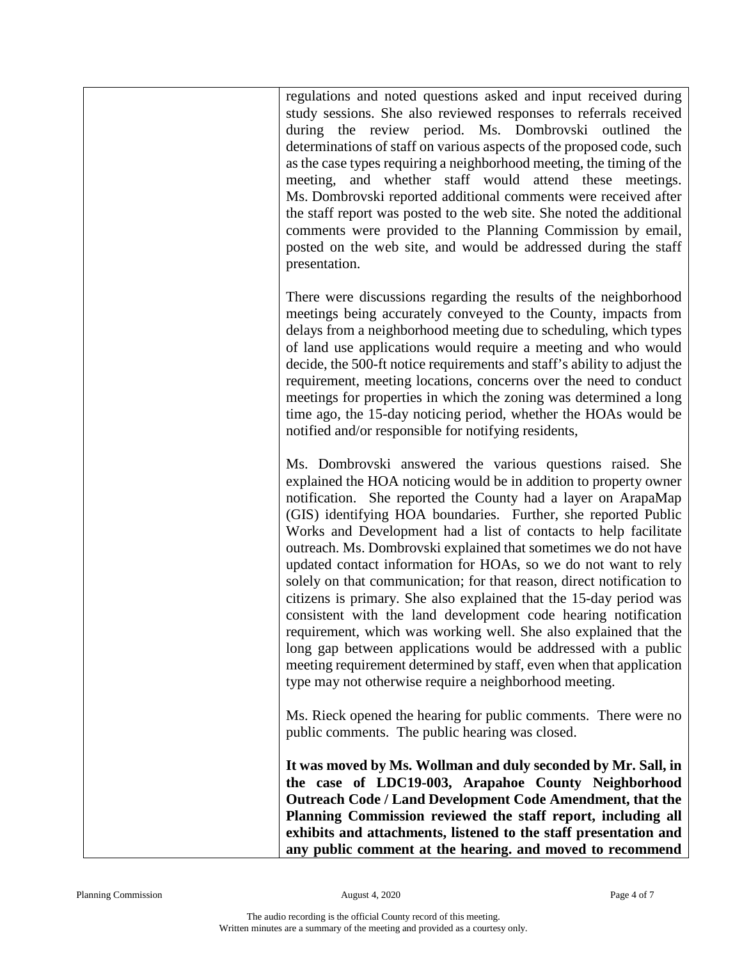regulations and noted questions asked and input received during study sessions. She also reviewed responses to referrals received during the review period. Ms. Dombrovski outlined the determinations of staff on various aspects of the proposed code, such as the case types requiring a neighborhood meeting, the timing of the meeting, and whether staff would attend these meetings. Ms. Dombrovski reported additional comments were received after the staff report was posted to the web site. She noted the additional comments were provided to the Planning Commission by email, posted on the web site, and would be addressed during the staff presentation.

There were discussions regarding the results of the neighborhood meetings being accurately conveyed to the County, impacts from delays from a neighborhood meeting due to scheduling, which types of land use applications would require a meeting and who would decide, the 500-ft notice requirements and staff's ability to adjust the requirement, meeting locations, concerns over the need to conduct meetings for properties in which the zoning was determined a long time ago, the 15-day noticing period, whether the HOAs would be notified and/or responsible for notifying residents,

Ms. Dombrovski answered the various questions raised. She explained the HOA noticing would be in addition to property owner notification. She reported the County had a layer on ArapaMap (GIS) identifying HOA boundaries. Further, she reported Public Works and Development had a list of contacts to help facilitate outreach. Ms. Dombrovski explained that sometimes we do not have updated contact information for HOAs, so we do not want to rely solely on that communication; for that reason, direct notification to citizens is primary. She also explained that the 15-day period was consistent with the land development code hearing notification requirement, which was working well. She also explained that the long gap between applications would be addressed with a public meeting requirement determined by staff, even when that application type may not otherwise require a neighborhood meeting.

Ms. Rieck opened the hearing for public comments. There were no public comments. The public hearing was closed.

**It was moved by Ms. Wollman and duly seconded by Mr. Sall, in the case of LDC19-003, Arapahoe County Neighborhood Outreach Code / Land Development Code Amendment, that the Planning Commission reviewed the staff report, including all exhibits and attachments, listened to the staff presentation and any public comment at the hearing. and moved to recommend**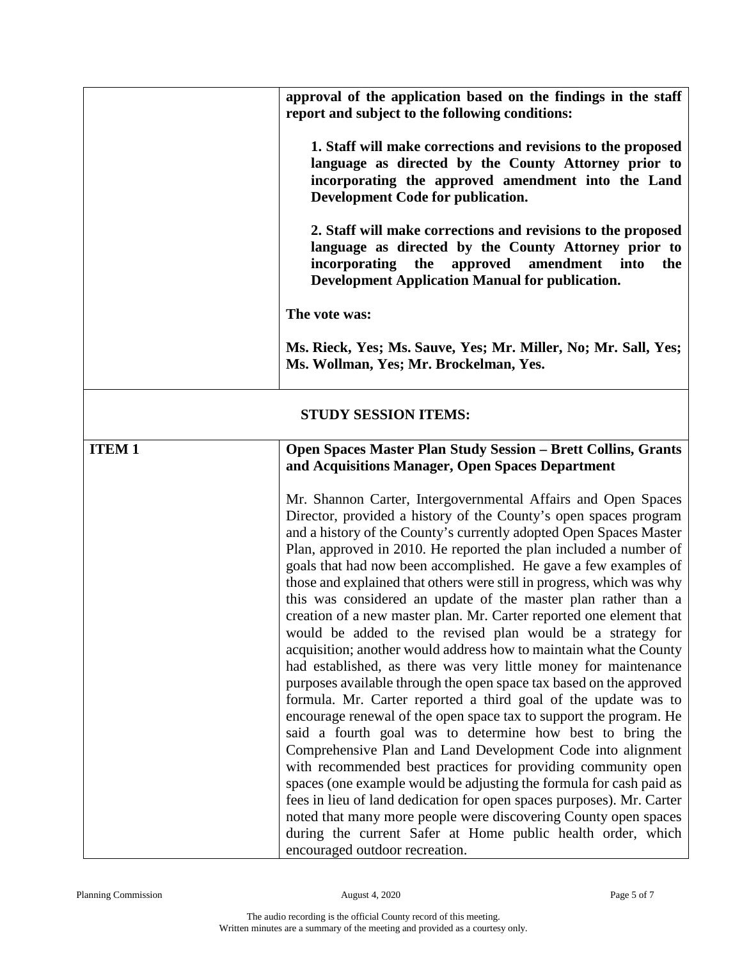|              | approval of the application based on the findings in the staff<br>report and subject to the following conditions:<br>1. Staff will make corrections and revisions to the proposed<br>language as directed by the County Attorney prior to<br>incorporating the approved amendment into the Land<br>Development Code for publication.<br>2. Staff will make corrections and revisions to the proposed<br>language as directed by the County Attorney prior to<br>incorporating the<br>approved<br>amendment into<br>the<br><b>Development Application Manual for publication.</b><br>The vote was:<br>Ms. Rieck, Yes; Ms. Sauve, Yes; Mr. Miller, No; Mr. Sall, Yes;<br>Ms. Wollman, Yes; Mr. Brockelman, Yes.                                                                                                                                                                                                                                                                                                                                                                                                                                                                                                                                                                                                                                                                                                                                                                                                                                                                                                                       |  |
|--------------|-------------------------------------------------------------------------------------------------------------------------------------------------------------------------------------------------------------------------------------------------------------------------------------------------------------------------------------------------------------------------------------------------------------------------------------------------------------------------------------------------------------------------------------------------------------------------------------------------------------------------------------------------------------------------------------------------------------------------------------------------------------------------------------------------------------------------------------------------------------------------------------------------------------------------------------------------------------------------------------------------------------------------------------------------------------------------------------------------------------------------------------------------------------------------------------------------------------------------------------------------------------------------------------------------------------------------------------------------------------------------------------------------------------------------------------------------------------------------------------------------------------------------------------------------------------------------------------------------------------------------------------|--|
|              |                                                                                                                                                                                                                                                                                                                                                                                                                                                                                                                                                                                                                                                                                                                                                                                                                                                                                                                                                                                                                                                                                                                                                                                                                                                                                                                                                                                                                                                                                                                                                                                                                                     |  |
|              | <b>STUDY SESSION ITEMS:</b>                                                                                                                                                                                                                                                                                                                                                                                                                                                                                                                                                                                                                                                                                                                                                                                                                                                                                                                                                                                                                                                                                                                                                                                                                                                                                                                                                                                                                                                                                                                                                                                                         |  |
| <b>ITEM1</b> | <b>Open Spaces Master Plan Study Session - Brett Collins, Grants</b><br>and Acquisitions Manager, Open Spaces Department<br>Mr. Shannon Carter, Intergovernmental Affairs and Open Spaces<br>Director, provided a history of the County's open spaces program<br>and a history of the County's currently adopted Open Spaces Master<br>Plan, approved in 2010. He reported the plan included a number of<br>goals that had now been accomplished. He gave a few examples of<br>those and explained that others were still in progress, which was why<br>this was considered an update of the master plan rather than a<br>creation of a new master plan. Mr. Carter reported one element that<br>would be added to the revised plan would be a strategy for<br>acquisition; another would address how to maintain what the County<br>had established, as there was very little money for maintenance<br>purposes available through the open space tax based on the approved<br>formula. Mr. Carter reported a third goal of the update was to<br>encourage renewal of the open space tax to support the program. He<br>said a fourth goal was to determine how best to bring the<br>Comprehensive Plan and Land Development Code into alignment<br>with recommended best practices for providing community open<br>spaces (one example would be adjusting the formula for cash paid as<br>fees in lieu of land dedication for open spaces purposes). Mr. Carter<br>noted that many more people were discovering County open spaces<br>during the current Safer at Home public health order, which<br>encouraged outdoor recreation. |  |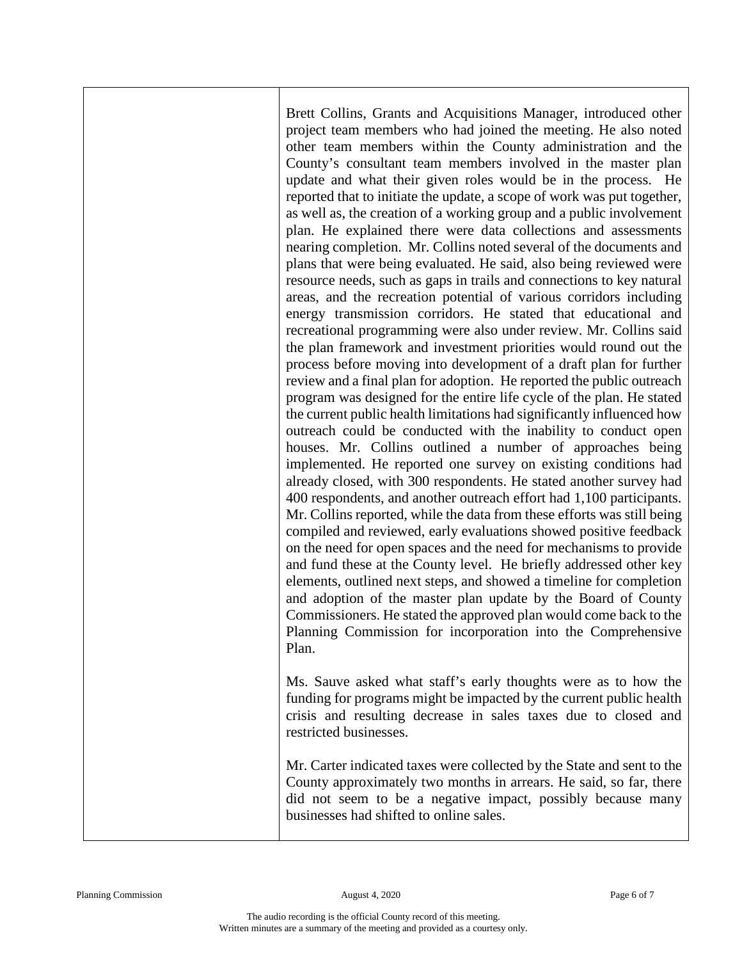Brett Collins, Grants and Acquisitions Manager, introduced other project team members who had joined the meeting. He also noted other team members within the County administration and the County's consultant team members involved in the master plan update and what their given roles would be in the process. He reported that to initiate the update, a scope of work was put together, as well as, the creation of a working group and a public involvement plan. He explained there were data collections and assessments nearing completion. Mr. Collins noted several of the documents and plans that were being evaluated. He said, also being reviewed were resource needs, such as gaps in trails and connections to key natural areas, and the recreation potential of various corridors including energy transmission corridors. He stated that educational and recreational programming were also under review. Mr. Collins said the plan framework and investment priorities would round out the process before moving into development of a draft plan for further review and a final plan for adoption. He reported the public outreach program was designed for the entire life cycle of the plan. He stated the current public health limitations had significantly influenced how outreach could be conducted with the inability to conduct open houses. Mr. Collins outlined a number of approaches being implemented. He reported one survey on existing conditions had already closed, with 300 respondents. He stated another survey had 400 respondents, and another outreach effort had 1,100 participants. Mr. Collins reported, while the data from these efforts was still being compiled and reviewed, early evaluations showed positive feedback on the need for open spaces and the need for mechanisms to provide and fund these at the County level. He briefly addressed other key elements, outlined next steps, and showed a timeline for completion and adoption of the master plan update by the Board of County Commissioners. He stated the approved plan would come back to the Planning Commission for incorporation into the Comprehensive Plan.

Ms. Sauve asked what staff's early thoughts were as to how the funding for programs might be impacted by the current public health crisis and resulting decrease in sales taxes due to closed and restricted businesses.

Mr. Carter indicated taxes were collected by the State and sent to the County approximately two months in arrears. He said, so far, there did not seem to be a negative impact, possibly because many businesses had shifted to online sales.